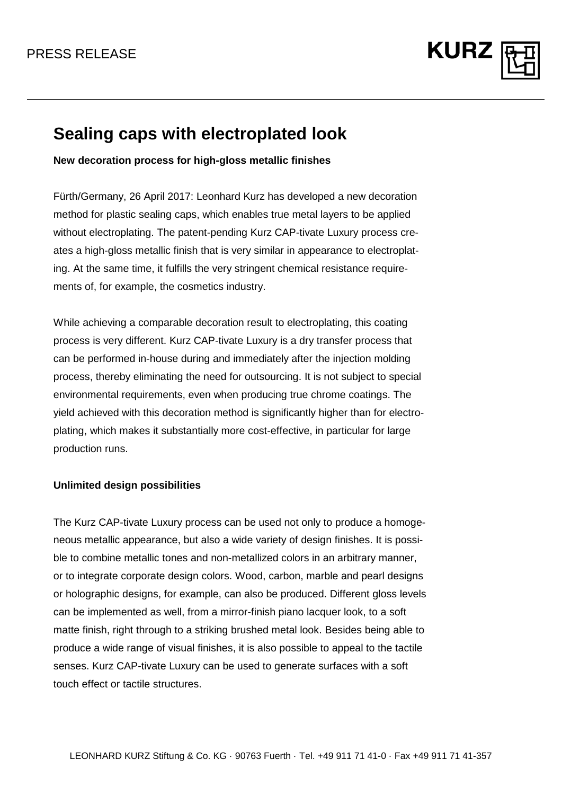

## **Sealing caps with electroplated look**

**New decoration process for high-gloss metallic finishes**

Fürth/Germany, 26 April 2017: Leonhard Kurz has developed a new decoration method for plastic sealing caps, which enables true metal layers to be applied without electroplating. The patent-pending Kurz CAP-tivate Luxury process creates a high-gloss metallic finish that is very similar in appearance to electroplating. At the same time, it fulfills the very stringent chemical resistance requirements of, for example, the cosmetics industry.

While achieving a comparable decoration result to electroplating, this coating process is very different. Kurz CAP-tivate Luxury is a dry transfer process that can be performed in-house during and immediately after the injection molding process, thereby eliminating the need for outsourcing. It is not subject to special environmental requirements, even when producing true chrome coatings. The yield achieved with this decoration method is significantly higher than for electroplating, which makes it substantially more cost-effective, in particular for large production runs.

## **Unlimited design possibilities**

The Kurz CAP-tivate Luxury process can be used not only to produce a homogeneous metallic appearance, but also a wide variety of design finishes. It is possible to combine metallic tones and non-metallized colors in an arbitrary manner, or to integrate corporate design colors. Wood, carbon, marble and pearl designs or holographic designs, for example, can also be produced. Different gloss levels can be implemented as well, from a mirror-finish piano lacquer look, to a soft matte finish, right through to a striking brushed metal look. Besides being able to produce a wide range of visual finishes, it is also possible to appeal to the tactile senses. Kurz CAP-tivate Luxury can be used to generate surfaces with a soft touch effect or tactile structures.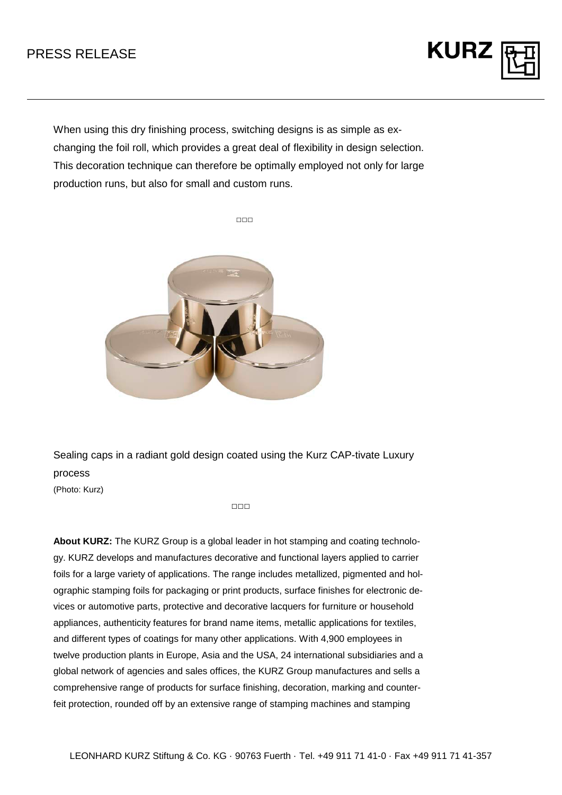## PRESS RELEASE

When using this dry finishing process, switching designs is as simple as exchanging the foil roll, which provides a great deal of flexibility in design selection. This decoration technique can therefore be optimally employed not only for large production runs, but also for small and custom runs.

**KURZ** 



Sealing caps in a radiant gold design coated using the Kurz CAP-tivate Luxury process

(Photo: Kurz)

□□□

**About KURZ:** The KURZ Group is a global leader in hot stamping and coating technology. KURZ develops and manufactures decorative and functional layers applied to carrier foils for a large variety of applications. The range includes metallized, pigmented and holographic stamping foils for packaging or print products, surface finishes for electronic devices or automotive parts, protective and decorative lacquers for furniture or household appliances, authenticity features for brand name items, metallic applications for textiles, and different types of coatings for many other applications. With 4,900 employees in twelve production plants in Europe, Asia and the USA, 24 international subsidiaries and a global network of agencies and sales offices, the KURZ Group manufactures and sells a comprehensive range of products for surface finishing, decoration, marking and counterfeit protection, rounded off by an extensive range of stamping machines and stamping